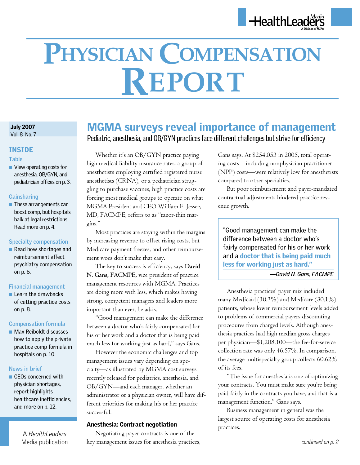# **Physician Compensation Report**

#### July 2007 Vol. 8 No. 7

INSIDE

## **Table**

 $\blacksquare$  View operating costs for anesthesia, OB/GYN, and pediatrician offices on p. 3.

## **Gainsharing**

 $\blacksquare$  These arrangements can boost comp, but hospitals balk at legal restrictions. Read more on p. 4.

## **Specialty compensation**

 $\blacksquare$  Read how shortages and reimbursement affect psychiatry compensation on p. 6.

## **Financial management**

 $\blacksquare$  Learn the drawbacks of cutting practice costs on p. 8.

## **Compensation formula**

 $\blacksquare$  Max Reiboldt discusses how to apply the private practice comp formula in hospitals on p. 10.

## **News in brief**

 $\blacksquare$  CEOs concerned with physician shortages, report highlights healthcare inefficiencies, and more on p. 12.

A *HealthLeaders*

## MGMA surveys reveal importance of management Pediatric, anesthesia, and OB/GYN practices face different challenges but strive for efficiency

Whether it's an OB/GYN practice paying high medical liability insurance rates, a group of anesthetists employing certified registered nurse anesthetists (CRNA), or a pediatrician struggling to purchase vaccines, high practice costs are forcing most medical groups to operate on what MGMA President and CEO William F. Jessee, MD, FACMPE, referrs to as "razor-thin margins."

Most practices are staying within the margins by increasing revenue to offset rising costs, but Medicare payment freezes, and other reimbursement woes don't make that easy.

The key to success is efficiency, says **David N. Gans, FACMPE,** vice president of practice management resources with MGMA. Practices are doing more with less, which makes having strong, competent managers and leaders more important than ever, he adds.

"Good management can make the difference between a doctor who's fairly compensated for his or her work and a doctor that is being paid much less for working just as hard," says Gans.

However the economic challenges and top management issues vary depending on specialty—as illustrated by MGMA cost surveys recently released for pediatrics, anesthesia, and OB/GYN—and each manager, whether an administrator or a physician owner, will have different priorities for making his or her practice successful.

## Anesthesia: Contract negotiation

Negotiating payer contracts is one of the Media publication by management issues for anesthesia practices, **continued on p. 2** continued on p. 2

Gans says. At \$254,053 in 2005, total operating costs—including nonphysician practitioner (NPP) costs—were relatively low for anesthetists compared to other specialties.

But poor reimbursement and payer-mandated contractual adjustments hindered practice revenue growth.

"Good management can make the difference between a doctor who's fairly compensated for his or her work and a doctor that is being paid much less for working just as hard."

## *—David N. Gans, FACMPE*

Anesthesia practices' payer mix included many Medicaid (10.3%) and Medicare (30.1%) patients, whose lower reimbursement levels added to problems of commercial payers discounting procedures from charged levels. Although anesthesia practices had high median gross charges per physician—\$1,208,100—the fee-for-service collection rate was only 46.57%. In comparison, the average multispecialty group collects 60.62% of its fees.

"The issue for anesthesia is one of optimizing your contracts. You must make sure you're being paid fairly in the contracts you have, and that is a management function," Gans says.

Business management in general was the largest source of operating costs for anesthesia practices.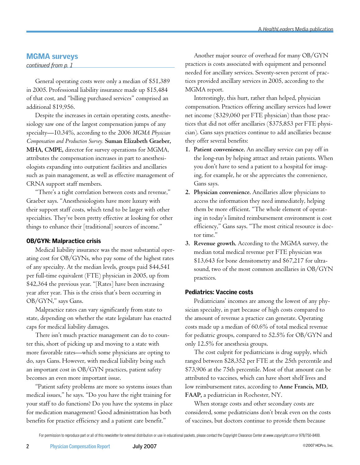## MGMA surveys

*continued from p. 1*

General operating costs were only a median of \$51,389 in 2005. Professional liability insurance made up \$15,484 of that cost, and "billing purchased services" comprised an additional \$19,956.

Despite the increases in certain operating costs, anesthesiology saw one of the largest compensation jumps of any specialty—10.34%, according to the 2006 *MGMA Physician Compensation and Production Survey.* **Suman Elizabeth Graeber, MHA, CMPE,** director for survey operations for MGMA, attributes the compensation increases in part to anesthesiologists expanding into outpatient facilities and ancillaries such as pain management, as well as effective management of CRNA support staff members.

"There's a tight correlation between costs and revenue," Graeber says. "Anesthesiologists have more luxury with their support staff costs, which tend to be larger with other specialties. They've been pretty effective at looking for other things to enhance their [traditional] sources of income."

## OB/GYN: Malpractice crisis

Medical liability insurance was the most substantial operating cost for OB/GYNs, who pay some of the highest rates of any specialty. At the median levels, groups paid \$44,541 per full-time equivalent (FTE) physician in 2005, up from \$42,364 the previous year. "[Rates] have been increasing year after year. This is the crisis that's been occurring in OB/GYN," says Gans.

Malpractice rates can vary significantly from state to state, depending on whether the state legislature has enacted caps for medical liability damages.

There isn't much practice management can do to counter this, short of picking up and moving to a state with more favorable rates—which some physicians are opting to do, says Gans. However, with medical liability being such an important cost in OB/GYN practices, patient safety becomes an even more important issue.

"Patient safety problems are more so systems issues than medical issues," he says. "Do you have the right training for your staff to do functions? Do you have the systems in place for medication management? Good administration has both benefits for practice efficiency and a patient care benefit."

Another major source of overhead for many OB/GYN practices is costs associated with equipment and personnel needed for ancillary services. Seventy-seven percent of practices provided ancillary services in 2005, according to the MGMA report.

Interestingly, this hurt, rather than helped, physician compensation. Practices offering ancillary services had lower net income (\$329,060 per FTE physician) than those practices that did not offer ancillaries (\$375,853 per FTE physician). Gans says practices continue to add ancillaries because they offer several benefits:

- **1. Patient convenience.** An ancillary service can pay off in the long-run by helping attract and retain patients. When you don't have to send a patient to a hospital for imaging, for example, he or she appreciates the convenience, Gans says.
- **2. Physician convenience.** Ancillaries allow physicians to access the information they need immediately, helping them be more efficient. "The whole element of operating in today's limited reimbursement environment is cost efficiency," Gans says. "The most critical resource is doctor time."
- **3. Revenue growth.** According to the MGMA survey, the median total medical revenue per FTE physician was \$13,643 for bone densitometry and \$67,217 for ultrasound, two of the most common ancillaries in OB/GYN practices.

## Pediatrics: Vaccine costs

Pediatricians' incomes are among the lowest of any physician specialty, in part because of high costs compared to the amount of revenue a practice can generate. Operating costs made up a median of 60.6% of total medical revenue for pediatric groups, compared to 52.5% for OB/GYN and only 12.5% for anesthesia groups.

The cost culprit for pediatricians is drug supply, which ranged between \$28,352 per FTE at the 25th percentile and \$73,906 at the 75th percentile. Most of that amount can be attributed to vaccines, which can have short shelf lives and low reimbursement rates, according to **Anne Francis, MD, FAAP,** a pediatrician in Rochester, NY.

When storage costs and other secondary costs are considered, some pediatricians don't break even on the costs of vaccines, but doctors continue to provide them because

For permission to reproduce part or all of this newsletter for external distribution or use in educational packets, please contact the Copyright Clearance Center at *www.copyright.com* or 978/750-8400.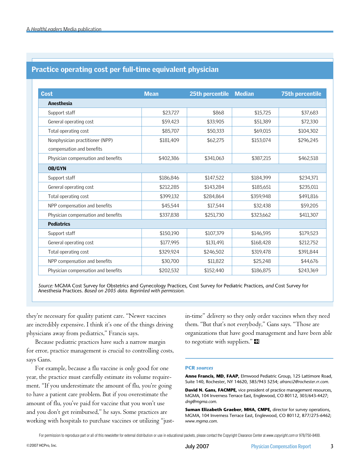## Practice operating cost per full-time equivalent physician

| <b>Cost</b>                                                  | <b>Mean</b> | 25th percentile | <b>Median</b> | <b>75th percentile</b> |
|--------------------------------------------------------------|-------------|-----------------|---------------|------------------------|
| <b>Anesthesia</b>                                            |             |                 |               |                        |
| Support staff                                                | \$23,727    | \$868           | \$15,725      | \$37,683               |
| General operating cost                                       | \$59,423    | \$33,905        | \$51,389      | \$72,330               |
| Total operating cost                                         | \$85,707    | \$50,333        | \$69,015      | \$104,302              |
| Nonphysician practitioner (NPP)<br>compensation and benefits | \$181,409   | \$62,275        | \$153,074     | \$296,245              |
| Physician compensation and benefits                          | \$402,386   | \$341,063       | \$387,215     | \$462,518              |
| <b>OB/GYN</b>                                                |             |                 |               |                        |
| Support staff                                                | \$186.846   | \$147,522       | \$184,399     | \$234,371              |
| General operating cost                                       | \$212,285   | \$143,284       | \$185,651     | \$235,011              |
| Total operating cost                                         | \$399,132   | \$284,864       | \$359,948     | \$491,816              |
| NPP compensation and benefits                                | \$45,544    | \$17,544        | \$32,438      | \$59,205               |
| Physician compensation and benefits                          | \$337,838   | \$251,730       | \$323,662     | \$411,307              |
| <b>Pediatrics</b>                                            |             |                 |               |                        |
| Support staff                                                | \$150,190   | \$107,379       | \$146,595     | \$179,523              |
| General operating cost                                       | \$177,995   | \$131,491       | \$168,428     | \$212,752              |
| Total operating cost                                         | \$329,924   | \$246,502       | \$319,478     | \$391,844              |
| NPP compensation and benefits                                | \$30,700    | \$11,822        | \$25,248      | \$44,676               |
| Physician compensation and benefits                          | \$202,532   | \$152,440       | \$186,875     | \$243,369              |

*Source:* MGMA Cost Survey for Obstetrics and Gynecology Practices, Cost Survey for Pediatric Practices, *and* Cost Survey for Anesthesia Practices. *Based on 2005 data. Reprinted with permission.*

they're necessary for quality patient care. "Newer vaccines are incredibly expensive. I think it's one of the things driving physicians away from pediatrics," Francis says.

Because pediatric practices have such a narrow margin for error, practice management is crucial to controlling costs, says Gans.

For example, because a flu vaccine is only good for one year, the practice must carefully estimate its volume requirement. "If you underestimate the amount of flu, you're going to have a patient care problem. But if you overestimate the amount of flu, you've paid for vaccine that you won't use and you don't get reimbursed," he says. Some practices are working with hospitals to purchase vaccines or utilizing "justin-time" delivery so they only order vaccines when they need them. "But that's not everybody," Gans says. "Those are organizations that have good management and have been able to negotiate with suppliers." $\blacksquare$ 

#### **PCR** *sources*

**Anne Francis, MD, FAAP,** Elmwood Pediatric Group, 125 Lattimore Road, Suite 140, Rochester, NY 14620, 585/943 5254; *afranci2@rochester.rr.com*.

**David N. Gans, FACMPE,** vice president of practice management resources, MGMA, 104 Inverness Terrace East, Englewood, CO 80112, 303/643-4427; *dng@mgma.com*.

**Suman Elizabeth Graeber, MHA, CMPE,** director for survey operations, MGMA, 104 Inverness Terrace East, Englewood, CO 80112, 877/275-6462; *www.mgma.com*.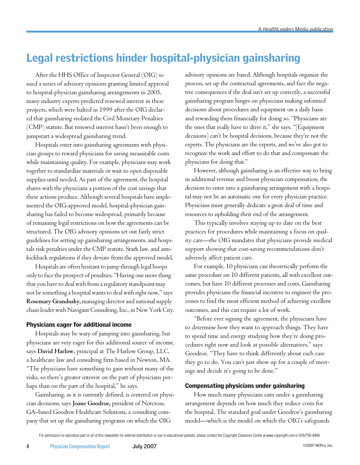# Legal restrictions hinder hospital-physician gainsharing

After the HHS Office of Inspector General (OIG) issued a series of advisory opinions granting limited approval to hospital-physician gainsharing arrangements in 2005, many industry experts predicted renewed interest in these projects, which were halted in 1999 after the OIG declared that gainsharing violated the Civil Monetary Penalties (CMP) statute. But renewed interest hasn't been enough to jumpstart a widespread gainsharing trend.

Hospitals enter into gainsharing agreements with physician groups to reward physicians for saving measurable costs while maintaining quality. For example, physicians may work together to standardize materials or wait to open disposable supplies until needed. As part of the agreement, the hospital shares with the physicians a portion of the cost savings that these actions produce. Although several hospitals have implemented the OIG-approved model, hospital-physician gainsharing has failed to become widespread, primarily because of remaining legal restrictions on how the agreements can be structured. The OIG advisory opinions set out fairly strict guidelines for setting up gainsharing arrangements, and hospitals risk penalties under the CMP statute, Stark law, and antikickback regulations if they deviate from the approved model.

Hospitals are often hesitant to jump through legal hoops only to face the prospect of penalties. "Having one more thing that you have to deal with from a regulatory standpoint may not be something a hospital wants to deal with right now," says **Rosemary Grandusky,** managing director and national supply chain leader with Navigant Consulting, Inc., in New York City.

#### Physicians eager for additional income

Hospitals may be wary of jumping into gainsharing, but physicians are very eager for this additional source of income, says **David Harlow,** principal at The Harlow Group, LLC, a healthcare law and consulting firm based in Newton, MA. "The physicians have something to gain without many of the risks, so there's greater interest on the part of physicians perhaps than on the part of the hospital," he says.

Gainsharing, as it is currently defined, is centered on physician decisions, says **Joane Goodroe,** president of Norcross, GA–based Goodroe Healthcare Solutions, a consulting company that set up the gainsharing programs on which the OIG

advisory opinions are based. Although hospitals organize the process, set up the contractual agreements, and face the negative consequences if the deal isn't set up correctly, a successful gainsharing program hinges on physicians making informed decisions about procedures and equipment on a daily basis and rewarding them financially for doing so. "Physicians are the ones that really have to drive it," she says. "[Equipment decisions] can't be hospital decisions, because they're not the experts. The physicians are the experts, and we've also got to recognize the work and effort to do that and compensate the physicians for doing that."

However, although gainsharing is an effective way to bring in additional revenue and boost physician compensation, the decision to enter into a gainsharing arrangement with a hospital may not be an automatic one for every physician practice. Physicians must generally dedicate a great deal of time and resources to upholding their end of the arrangement.

This typically involves staying up to date on the best practices for procedures while maintaining a focus on quality care—the OIG mandates that physicians provide medical support showing that cost-saving recommendations don't adversely affect patient care.

For example, 10 physicians can theoretically perform the same procedure on 10 different patients, all with excellent outcomes, but have 10 different processes and costs. Gainsharing provides physicians the financial incentive to engineer the processes to find the most efficient method of achieving excellent outcomes, and this can require a lot of work.

"Before ever signing the agreement, the physicians have to determine how they want to approach things. They have to spend time and energy studying how they're doing procedures right now and look at possible alternatives," says Goodroe. "They have to think differently about each case they go to do. You can't just show up for a couple of meetings and decide it's going to be done."

#### Compensating physicians under gainsharing

How much many physicians earn under a gainsharing arrangement depends on how much they reduce costs for the hospital. The standard goal under Goodroe's gainsharing model—which is the model on which the OIG's safeguards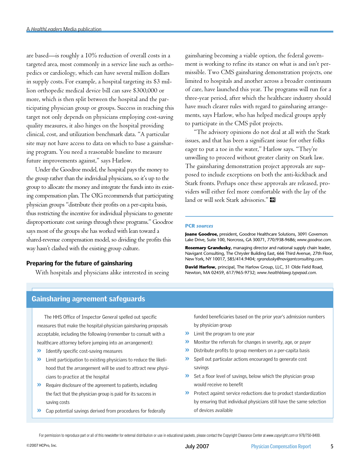are based—is roughly a 10% reduction of overall costs in a targeted area, most commonly in a service line such as orthopedics or cardiology, which can have several million dollars in supply costs. For example, a hospital targeting its \$3 million orthopedic medical device bill can save \$300,000 or more, which is then split between the hospital and the participating physician group or groups. Success in reaching this target not only depends on physicians employing cost-saving quality measures, it also hinges on the hospital providing clinical, cost, and utilization benchmark data. "A particular site may not have access to data on which to base a gainsharing program. You need a reasonable baseline to measure future improvements against," says Harlow.

Under the Goodroe model, the hospital pays the money to the group rather than the individual physicians, so it's up to the group to allocate the money and integrate the funds into its existing compensation plan. The OIG recommends that participating physician groups "distribute their profits on a per-capita basis, thus restricting the incentive for individual physicians to generate disproportionate cost savings through these programs." Goodroe says most of the groups she has worked with lean toward a shared-revenue compensation model, so dividing the profits this way hasn't clashed with the existing group culture.

#### Preparing for the future of gainsharing

With hospitals and physicians alike interested in seeing

gainsharing becoming a viable option, the federal government is working to refine its stance on what is and isn't permissible. Two CMS gainsharing demonstration projects, one limited to hospitals and another across a broader continuum of care, have launched this year. The programs will run for a three-year period, after which the healthcare industry should have much clearer rules with regard to gainsharing arrangements, says Harlow, who has helped medical groups apply to participate in the CMS pilot projects.

"The advisory opinions do not deal at all with the Stark issues, and that has been a significant issue for other folks eager to put a toe in the water," Harlow says. "They're unwilling to proceed without greater clarity on Stark law. The gainsharing demonstration project approvals are supposed to include exceptions on both the anti-kickback and Stark fronts. Perhaps once these approvals are released, providers will either feel more comfortable with the lay of the land or will seek Stark advisories."

#### **PCR** *sources*

**Joane Goodroe,** president, Goodroe Healthcare Solutions, 3091 Governors Lake Drive, Suite 100, Norcross, GA 30071, 770/938-9686; *www.goodroe.com*.

**Rosemary Grandusky,** managing director and national supply chain leader, Navigant Consulting, The Chrysler Building East, 666 Third Avenue, 27th Floor, New York, NY 10017, 585/414.9404; *rgrandusky@navigantconsulting.com*.

**David Harlow,** principal, The Harlow Group, LLC, 31 Olde Field Road, Newton, MA 02459, 617/965-9732; *www.healthblawg.typepad.com*.

## Gainsharing agreement safeguards

The HHS Office of Inspector General spelled out specific measures that make the hospital-physician gainsharing proposals acceptable, including the following (remember to consult with a healthcare attorney before jumping into an arrangement):

- » Identify specific cost-saving measures
- » Limit participation to existing physicians to reduce the likelihood that the arrangement will be used to attract new physicians to practice at the hospital
- » Require disclosure of the agreement to patients, including the fact that the physician group is paid for its success in saving costs
- » Cap potential savings derived from procedures for federally

funded beneficiaries based on the prior year's admission numbers by physician group

- » Limit the program to one year
- » Monitor the referrals for changes in severity, age, or payer
- » Distribute profits to group members on a per-capita basis
- » Spell out particular actions encouraged to generate cost savings
- » Set a floor level of savings, below which the physician group would receive no benefit
- » Protect against service reductions due to product standardization by ensuring that individual physicians still have the same selection of devices available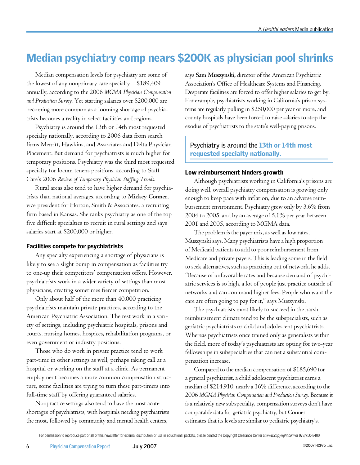# Median psychiatry comp nears \$200K as physician pool shrinks

Median compensation levels for psychiatry are some of the lowest of any nonprimary care specialty—\$189,409 annually, according to the 2006 *MGMA Physician Compensation and Production Survey.* Yet starting salaries over \$200,000 are becoming more common as a looming shortage of psychiatrists becomes a reality in select facilities and regions.

Psychiatry is around the 13th or 14th most requested specialty nationally, according to 2006 data from search firms Merritt, Hawkins, and Associates and Delta Physician Placement. But demand for psychiatrists is much higher for temporary positions. Psychiatry was the third most requested specialty for locum tenens positions, according to Staff Care's 2006 *Review of Temporary Physician Staffing Trends.*

Rural areas also tend to have higher demand for psychiatrists than national averages, according to **Mickey Conner,**  vice president for Horton, Smith & Associates, a recruiting firm based in Kansas. She ranks psychiatry as one of the top five difficult specialties to recruit in rural settings and says salaries start at \$200,000 or higher.

## Facilities compete for psychiatrists

Any specialty experiencing a shortage of physicians is likely to see a slight bump in compensation as facilities try to one-up their competitors' compensation offers. However, psychiatrists work in a wider variety of settings than most physicians, creating sometimes fiercer competition.

Only about half of the more than 40,000 practicing psychiatrists maintain private practices, according to the American Psychiatric Association. The rest work in a variety of settings, including psychiatric hospitals, prisons and courts, nursing homes, hospices, rehabilitation programs, or even government or industry positions.

Those who do work in private practice tend to work part-time in other settings as well, perhaps taking call at a hospital or working on the staff at a clinic. As permanent employment becomes a more common compensation structure, some facilities are trying to turn these part-timers into full-time staff by offering guaranteed salaries.

Nonpractice settings also tend to have the most acute shortages of psychiatrists, with hospitals needing psychiatrists the most, followed by community and mental health centers,

says **Sam Muszynski,** director of the American Psychiatric Association's Office of Healthcare Systems and Financing. Desperate facilities are forced to offer higher salaries to get by. For example, psychiatrists working in California's prison systems are regularly pulling in \$250,000 per year or more, and county hospitals have been forced to raise salaries to stop the exodus of psychiatrists to the state's well-paying prisons.

Psychiatry is around the 13th or 14th most requested specialty nationally.

## Low reimbursement hinders growth

Although psychiatrists working in California's prisons are doing well, overall psychiatry compensation is growing only enough to keep pace with inflation, due to an adverse reimbursement environment. Psychiatry grew only by 3.6% from 2004 to 2005, and by an average of 5.1% per year between 2001 and 2005, according to MGMA data.

The problem is the payer mix, as well as low rates, Muszynski says. Many psychiatrists have a high proportion of Medicaid patients to add to poor reimbursement from Medicare and private payers. This is leading some in the field to seek alternatives, such as practicing out of network, he adds. "Because of unfavorable rates and because demand of psychiatric services is so high, a lot of people just practice outside of networks and can command higher fees. People who want the care are often going to pay for it," says Muszynski.

The psychiatrists most likely to succeed in the harsh reimbursement climate tend to be the subspecialists, such as geriatric psychiatrists or child and adolescent psychiatrists. Whereas psychiatrists once trained only as generalists within the field, more of today's psychiatrists are opting for two-year fellowships in subspecialties that can net a substantial compensation increase.

Compared to the median compensation of \$185,690 for a general psychiatrist, a child adolescent psychiatrist earns a median of \$214,910, nearly a 16% difference, according to the 2006 *MGMA Physician Compensation and Production Survey.* Because it is a relatively new subspecialty, compensation surveys don't have comparable data for geriatric psychiatry, but Conner estimates that its levels are similar to pediatric psychiatry's.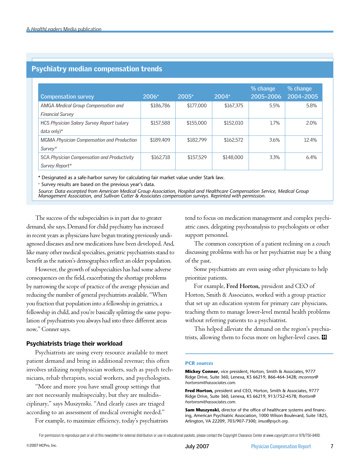| <b>Compensation survey</b>                  | $2006+$   | $2005+$   | $2004+$   | % change<br>2005-2006 | % change<br>2004-2005 |
|---------------------------------------------|-----------|-----------|-----------|-----------------------|-----------------------|
| <b>AMGA Medical Group Compensation and</b>  | \$186,786 | \$177,000 | \$167.375 | 5.5%                  | 5.8%                  |
| <b>Financial Survey</b>                     |           |           |           |                       |                       |
| HCS Physician Salary Survey Report (salary  | \$157,588 | \$155,000 | \$152.010 | 1.7%                  | 2.0%                  |
| data only) $*$                              |           |           |           |                       |                       |
| MGMA Physician Compensation and Production  | \$189.409 | \$182.799 | \$162.572 | 3.6%                  | 12.4%                 |
| Survey*                                     |           |           |           |                       |                       |
| SCA Physician Compensation and Productivity | \$162.718 | \$157.529 | \$148,000 | 3.3%                  | 6.4%                  |
| Survey Report*                              |           |           |           |                       |                       |

## Psychiatry median compensation trends

\* Designated as a safe-harbor survey for calculating fair market value under Stark law.

+ Survey results are based on the previous year's data.

Source: Data excerpted from American Medical Group Association, Hospital and Healthcare Compensation Service, Medical Group<br>Management Association, and Sullivan Cotter & Associates compensation surveys. Reprinted with perm

The success of the subspecialties is in part due to greater demand, she says. Demand for child psychiatry has increased in recent years as physicians have begun treating previously undiagnosed diseases and new medications have been developed. And, like many other medical specialties, geriatric psychiatrists stand to benefit as the nation's demographics reflect an older population.

However, the growth of subspecialties has had some adverse consequences on the field, exacerbating the shortage problems by narrowing the scope of practice of the average physician and reducing the number of general psychiatrists available. "When you fraction that population into a fellowship in geriatrics, a fellowship in child, and you're basically splitting the same population of psychiatrists you always had into three different areas now," Conner says.

## Psychiatrists triage their workload

Psychiatrists are using every resource available to meet patient demand and bring in additional revenue; this often involves utilizing nonphysician workers, such as psych technicians, rehab therapists, social workers, and psychologists.

"More and more you have small group settings that are not necessarily multispecialty, but they are multidisciplinary," says Muszynski. "And clearly cases are triaged according to an assessment of medical oversight needed."

For example, to maximize efficiency, today's psychiatrists

tend to focus on medication management and complex psychiatric cases, delegating psychoanalysis to psychologists or other support personnel.

The common conception of a patient reclining on a couch discussing problems with his or her psychiatrist may be a thing of the past.

Some psychiatrists are even using other physicians to help prioritize patients.

For example, **Fred Horton,** president and CEO of Horton, Smith & Associates, worked with a group practice that set up an education system for primary care physicians, teaching them to manage lower-level mental health problems without referring patients to a psychiatrist.

This helped alleviate the demand on the region's psychiatrists, allowing them to focus more on higher-level cases.  $\blacksquare$ 

#### **PCR** *sources*

**Mickey Conner,** vice president, Horton, Smith & Associates, 9777 Ridge Drive, Suite 360, Lenexa, KS 66219, 866-464-3428; *mconnor@ hortonsmithassociates.com*.

**Fred Horton,** president and CEO, Horton, Smith & Associates, 9777 Ridge Drive, Suite 360, Lenexa, KS 66219, 913/752-4578; *fhorton@ hortonsmithassociates.com*.

**Sam Muszynski,** director of the office of healthcare systems and financing, American Psychiatric Association, 1000 Wilson Boulevard, Suite 1825, Arlington, VA 22209, 703/907-7300; *imus@psych.org*.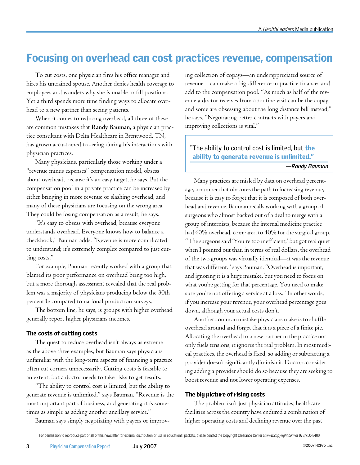# Focusing on overhead can cost practices revenue, compensation

To cut costs, one physician fires his office manager and hires his untrained spouse. Another denies health coverage to employees and wonders why she is unable to fill positions. Yet a third spends more time finding ways to allocate overhead to a new partner than seeing patients.

When it comes to reducing overhead, all three of these are common mistakes that **Randy Bauman,** a physician practice consultant with Delta Healthcare in Brentwood, TN, has grown accustomed to seeing during his interactions with physician practices.

Many physicians, particularly those working under a "revenue minus expenses" compensation model, obsess about overhead, because it's an easy target, he says. But the compensation pool in a private practice can be increased by either bringing in more revenue or slashing overhead, and many of these physicians are focusing on the wrong area. They could be losing compensation as a result, he says.

"It's easy to obsess with overhead, because everyone understands overhead. Everyone knows how to balance a checkbook," Bauman adds. "Revenue is more complicated to understand; it's extremely complex compared to just cutting costs."

For example, Bauman recently worked with a group that blamed its poor performance on overhead being too high, but a more thorough assessment revealed that the real problem was a majority of physicians producing below the 30th percentile compared to national production surveys.

The bottom line, he says, is groups with higher overhead generally report higher physicians incomes.

#### The costs of cutting costs

The quest to reduce overhead isn't always as extreme as the above three examples, but Bauman says physicians unfamiliar with the long-term aspects of financing a practice often cut corners unnecessarily. Cutting costs is feasible to an extent, but a doctor needs to take risks to get results.

"The ability to control cost is limited, but the ability to generate revenue is unlimited," says Bauman. "Revenue is the most important part of business, and generating it is sometimes as simple as adding another ancillary service."

Bauman says simply negotiating with payers or improv-

ing collection of copays—an underappreciated source of revenue—can make a big difference in practice finances and add to the compensation pool. "As much as half of the revenue a doctor receives from a routine visit can be the copay, and some are obsessing about the long distance bill instead," he says. "Negotiating better contracts with payers and improving collections is vital."

## "The ability to control cost is limited, but the ability to generate revenue is unlimited."

*—Randy Bauman*

Many practices are misled by data on overhead percentage, a number that obscures the path to increasing revenue, because it is easy to forget that it is composed of both overhead and revenue. Bauman recalls working with a group of surgeons who almost backed out of a deal to merge with a group of internists, because the internal medicine practice had 60% overhead, compared to 40% for the surgical group. "The surgeons said 'You're too inefficient,' but got real quiet when I pointed out that, in terms of real dollars, the overhead of the two groups was virtually identical—it was the revenue that was different." says Bauman. "Overhead is important, and ignoring it is a huge mistake, but you need to focus on what you're getting for that percentage. You need to make sure you're not offering a service at a loss." In other words, if you increase your revenue, your overhead percentage goes down, although your actual costs don't.

Another common mistake physicians make is to shuffle overhead around and forget that it is a piece of a finite pie. Allocating the overhead to a new partner in the practice not only fuels tensions, it ignores the real problem. In most medical practices, the overhead is fixed, so adding or subtracting a provider doesn't significantly diminish it. Doctors considering adding a provider should do so because they are seeking to boost revenue and not lower operating expenses.

#### The big picture of rising costs

The problem isn't just physician attitudes; healthcare facilities across the country have endured a combination of higher operating costs and declining revenue over the past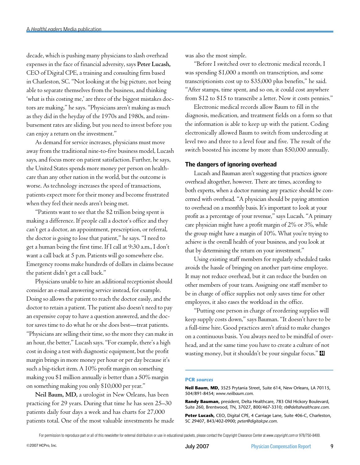decade, which is pushing many physicians to slash overhead expenses in the face of financial adversity, says **Peter Lucash,**  CEO of Digital CPE, a training and consulting firm based in Charleston, SC. "Not looking at the big picture, not being able to separate themselves from the business, and thinking 'what is this costing me,' are three of the biggest mistakes doctors are making," he says. "Physicians aren't making as much as they did in the heyday of the 1970s and 1980s, and reimbursement rates are sliding, but you need to invest before you can enjoy a return on the investment."

As demand for service increases, physicians must move away from the traditional nine-to-five business model, Lucash says, and focus more on patient satisfaction. Further, he says, the United States spends more money per person on healthcare than any other nation in the world, but the outcome is worse. As technology increases the speed of transactions, patients expect more for their money and become frustrated when they feel their needs aren't being met.

"Patients want to see that the \$2 trillion being spent is making a difference. If people call a doctor's office and they can't get a doctor, an appointment, prescription, or referral, the doctor is going to lose that patient," he says. "I need to get a human being the first time. If I call at 9:30 a.m., I don't want a call back at 5 p.m. Patients will go somewhere else. Emergency rooms make hundreds of dollars in claims because the patient didn't get a call back."

Physicians unable to hire an additional receptionist should consider an e-mail answering service instead, for example. Doing so allows the patient to reach the doctor easily, and the doctor to retain a patient. The patient also doesn't need to pay an expensive copay to have a question answered, and the doctor saves time to do what he or she does best—treat patients. "Physicians are selling their time, so the more they can make in an hour, the better," Lucash says. "For example, there's a high cost in doing a test with diagnostic equipment, but the profit margin brings in more money per hour or per day because it's such a big-ticket item. A 10% profit margin on something making you \$1 million annually is better than a 50% margin on something making you only \$10,000 per year."

**Neil Baum, MD,** a urologist in New Orleans, has been practicing for 29 years. During that time he has seen 25–30 patients daily four days a week and has charts for 27,000 patients total. One of the most valuable investments he made was also the most simple.

"Before I switched over to electronic medical records, I was spending \$1,000 a month on transcription, and some transcriptionists cost up to \$35,000 plus benefits," he said. "After stamps, time spent, and so on, it could cost anywhere from \$12 to \$15 to transcribe a letter. Now it costs pennies."

Electronic medical records allow Baum to fill in the diagnosis, medication, and treatment fields on a form so that the information is able to keep up with the patient. Coding electronically allowed Baum to switch from undercoding at level two and three to a level four and five. The result of the switch boosted his income by more than \$50,000 annually.

### The dangers of ignoring overhead

Lucash and Bauman aren't suggesting that practices ignore overhead altogether, however. There are times, according to both experts, when a doctor running any practice should be concerned with overhead. "A physician should be paying attention to overhead on a monthly basis. It's important to look at your profit as a percentage of your revenue," says Lucash. "A primary care physician might have a profit margin of 2% or 3%, while the group might have a margin of 10%. What you're trying to achieve is the overall health of your business, and you look at that by determining the return on your investment."

Using existing staff members for regularly scheduled tasks avoids the hassle of bringing on another part-time employee. It may not reduce overhead, but it can reduce the burden on other members of your team. Assigning one staff member to be in charge of office supplies not only saves time for other employees, it also eases the workload in the office.

"Putting one person in charge of reordering supplies will keep supply costs down," says Bauman. "It doesn't have to be a full-time hire. Good practices aren't afraid to make changes on a continuous basis. You always need to be mindful of overhead, and at the same time you have to create a culture of not wasting money, but it shouldn't be your singular focus."

#### **PCR** *sources*

**Neil Baum, MD,** 3525 Prytania Street, Suite 614, New Orleans, LA 70115, 504/891-8454; *www.neilbaum.com.*

**Randy Bauman,** president, Delta Healthcare, 783 Old Hickory Boulevard, Suite 260, Brentwood, TN, 37027, 800/467-3310; *rb@deltahealthcare.com*.

**Peter Lucash,** CEO, Digital CPE, 4 Carriage Lane, Suite 406-C, Charleston, SC 29407, 843/402-0900; *peter@digitalcpe.com*.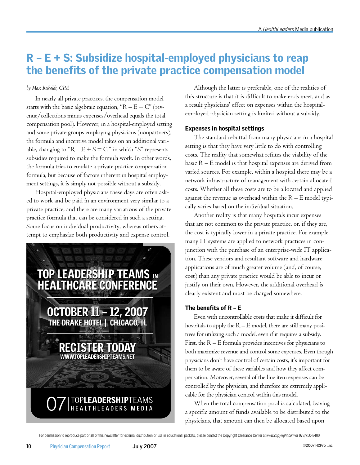# R – E + S: Subsidize hospital-employed physicians to reap the benefits of the private practice compensation model

## *by Max Reiboldt, CPA*

In nearly all private practices, the compensation model starts with the basic algebraic equation, " $R - E = C$ " (revenue/collections minus expenses/overhead equals the total compensation pool). However, in a hospital-employed setting and some private groups employing physicians (nonpartners), the formula and incentive model takes on an additional variable, changing to " $R - E + S = C$ ," in which "S" represents subsidies required to make the formula work. In other words, the formula tries to emulate a private practice compensation formula, but because of factors inherent in hospital employment settings, it is simply not possible without a subsidy.

Hospital-employed physicians these days are often asked to work and be paid in an environment very similar to a private practice, and there are many variations of the private practice formula that can be considered in such a setting. Some focus on individual productivity, whereas others attempt to emphasize both productivity and expense control.



Although the latter is preferable, one of the realities of this structure is that it is difficult to make ends meet, and as a result physicians' effect on expenses within the hospitalemployed physician setting is limited without a subsidy.

## Expenses in hospital settings

The standard rebuttal from many physicians in a hospital setting is that they have very little to do with controlling costs. The reality that somewhat refutes the viability of the basic  $R - E$  model is that hospital expenses are derived from varied sources. For example, within a hospital there may be a network infrastructure of management with certain allocated costs. Whether all these costs are to be allocated and applied against the revenue as overhead within the  $R - E$  model typically varies based on the individual situation.

Another reality is that many hospitals incur expenses that are not common to the private practice, or, if they are, the cost is typically lower in a private practice. For example, many IT systems are applied to network practices in conjunction with the purchase of an enterprise-wide IT application. These vendors and resultant software and hardware applications are of much greater volume (and, of course, cost) than any private practice would be able to incur or justify on their own. However, the additional overhead is clearly existent and must be charged somewhere.

## The benefits of R – E

Even with uncontrollable costs that make it difficult for hospitals to apply the  $R - E$  model, there are still many positives for utilizing such a model, even if it requires a subsidy. First, the  $R - E$  formula provides incentives for physicians to both maximize revenue and control some expenses. Even though physicians don't have control of certain costs, it's important for them to be aware of these variables and how they affect compensation. Moreover, several of the line item expenses can be controlled by the physician, and therefore are extremely applicable for the physician control within this model.

When the total compensation pool is calculated, leaving a specific amount of funds available to be distributed to the physicians, that amount can then be allocated based upon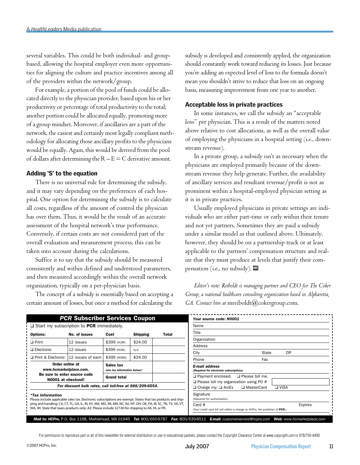several variables. This could be both individual- and groupbased, allowing the hospital employer even more opportunities for aligning the culture and practice incentives among all of the providers within the network/group.

For example, a portion of the pool of funds could be allocated directly to the physician provider, based upon his or her productivity or percentage of total productivity to the total; another portion could be allocated equally, promoting more of a group mindset. Moreover, if ancillaries are a part of the network, the easiest and certainly most legally compliant methodology for allocating those ancillary profits to the physicians would be equally. Again, this would be derived from the pool of dollars after determining the  $R - E = C$  derivative amount.

### Adding 'S' to the equation

There is no universal rule for determining the subsidy, and it may vary depending on the preferences of each hospital. One option for determining the subsidy is to calculate all costs, regardless of the amount of control the physician has over them. Thus, it would be the result of an accurate assessment of the hospital network's true performance. Conversely, if certain costs are not considered part of the overall evaluation and measurement process, this can be taken into account during the calculations.

Suffice it to say that the subsidy should be measured consistently and within defined and understood parameters, and then measured accordingly within the overall network organization, typically on a per-physician basis.

The concept of a subsidy is essentially based on accepting a certain amount of losses, but once a method for calculating the

subsidy is developed and consistently applied, the organization should constantly work toward reducing its losses. Just because you're adding an expected level of loss to the formula doesn't mean you shouldn't strive to reduce that loss on an ongoing basis, measuring improvement from one year to another.

## Acceptable loss in private practices

In some instances, we call the subsidy an "acceptable loss" per physician. This is a result of the matters noted above relative to cost allocations, as well as the overall value of employing the physicians in a hospital setting (i.e., downstream revenue).

In a private group, a subsidy isn't as necessary when the physicians are employed primarily because of the downstream revenue they help generate. Further, the availability of ancillary services and resultant revenue/profit is not as prominent within a hospital-employed physician setting as it is in private practices.

Usually employed physicians in private settings are individuals who are either part-time or early within their tenure and not yet partners. Sometimes they are paid a subsidy under a similar model as that outlined above. Ultimately, however, they should be on a partnership track or at least applicable to the partners' compensation structure and realize that they must produce at levels that justify their compensation (i.e., no subsidy).  $\blacksquare$ 

*Editor's note: Reiboldt is managing partner and CEO for The Coker Group, a national healthcare consulting organization based in Alpharetta, GA. Contact him at* mreiboldt@cokergroup.com.

| <b>PCR Subscriber Services Coupon</b>                                                                                                                                                                               |                                                                                                                                                      |                                                                                           |                                                                  |                                                                                                           | Your source code: N0001 |  |
|---------------------------------------------------------------------------------------------------------------------------------------------------------------------------------------------------------------------|------------------------------------------------------------------------------------------------------------------------------------------------------|-------------------------------------------------------------------------------------------|------------------------------------------------------------------|-----------------------------------------------------------------------------------------------------------|-------------------------|--|
| $\Box$ Start my subscription to PCR immediately.                                                                                                                                                                    |                                                                                                                                                      |                                                                                           |                                                                  |                                                                                                           | Name                    |  |
| <b>Options:</b>                                                                                                                                                                                                     | No. of issues                                                                                                                                        | Cost                                                                                      | <b>Shipping</b>                                                  | Total                                                                                                     | Title                   |  |
| $\Box$ Print                                                                                                                                                                                                        | 12 issues                                                                                                                                            | \$399 (PCRP)                                                                              | \$24.00                                                          |                                                                                                           | Organization            |  |
| $\Box$ Electronic                                                                                                                                                                                                   | 12 issues                                                                                                                                            | \$399 (PCRE)                                                                              | N/A                                                              |                                                                                                           | Address                 |  |
|                                                                                                                                                                                                                     |                                                                                                                                                      |                                                                                           |                                                                  |                                                                                                           | ZIP<br>State<br>City    |  |
| Print & Electronic 12 issues of each                                                                                                                                                                                |                                                                                                                                                      | \$24.00<br>\$399 (PCRPE)                                                                  |                                                                  |                                                                                                           | Fax<br>Phone            |  |
| Order online at<br>Sales tax<br>www.hcmarketplace.com.<br>(see tax information below)*                                                                                                                              |                                                                                                                                                      |                                                                                           | <b>E-mail address</b><br>(Required for electronic subscriptions) |                                                                                                           |                         |  |
| Be sure to enter source code<br><b>Grand total</b><br>N0001 at checkout!                                                                                                                                            |                                                                                                                                                      | □ Payment enclosed.<br>□ Please bill me.<br>$\Box$ Please bill my organization using PO # |                                                                  |                                                                                                           |                         |  |
| For discount bulk rates, call toll-free at 888/209-6554.                                                                                                                                                            |                                                                                                                                                      |                                                                                           |                                                                  | □ Charge my: □ AmEx<br>$\n  U USA\n$<br>□ MasterCard                                                      |                         |  |
| <b>*Tax Information</b><br>Please include applicable sales tax. Electronic subscriptions are exempt. States that tax products and ship-                                                                             |                                                                                                                                                      |                                                                                           |                                                                  | Signature<br>(Required for authorization)                                                                 |                         |  |
| ping and handling: CA, CT, FL, GA, IL, IN, KY, MA, MD, MI, MN, NC, NJ, NY, OH, OK, PA, RI, SC, TN, TX, VA, VT,<br>WA, WI. State that taxes products only: AZ. Please include \$27.00 for shipping to AK, HI, or PR. |                                                                                                                                                      |                                                                                           |                                                                  | Card #<br><b>Expires</b><br>(Your credit card bill will reflect a charge to HCPro, the publisher of PCR.) |                         |  |
|                                                                                                                                                                                                                     | Mail to: HCPro, P.O. Box 1168, Marblehead, MA 01945 Tel: 800/650-6787 Fax: 800/639-8511 E-mail: customerservice@hcpro.com Web: www.hcmarketplace.com |                                                                                           |                                                                  |                                                                                                           |                         |  |